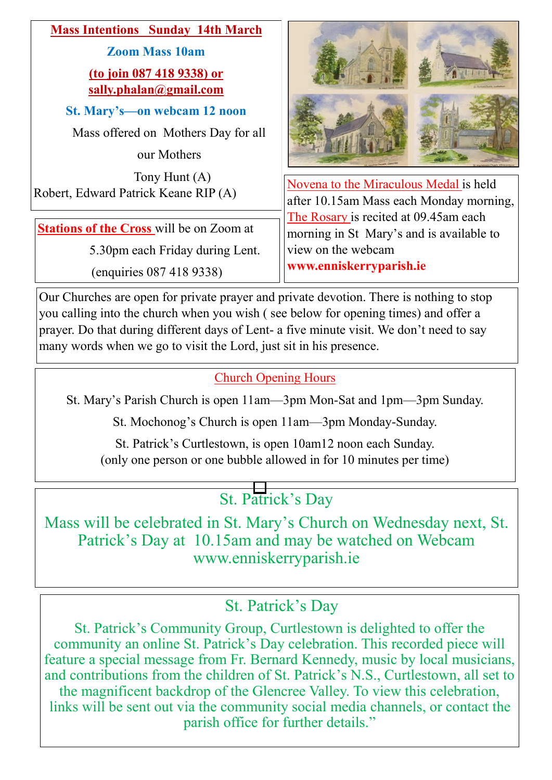

Our Churches are open for private prayer and private devotion. There is nothing to stop you calling into the church when you wish ( see below for opening times) and offer a prayer. Do that during different days of Lent- a five minute visit. We don't need to say many words when we go to visit the Lord, just sit in his presence.

# Church Opening Hours

St. Mary's Parish Church is open 11am—3pm Mon-Sat and 1pm—3pm Sunday.

St. Mochonog's Church is open 11am—3pm Monday-Sunday.

St. Patrick's Curtlestown, is open 10am12 noon each Sunday. (only one person or one bubble allowed in for 10 minutes per time)

# St. Patrick's Day

Mass will be celebrated in St. Mary's Church on Wednesday next, St. Patrick's Day at 10.15am and may be watched on Webcam www.enniskerryparish.ie

# St. Patrick's Day

St. Patrick's Community Group, Curtlestown is delighted to offer the community an online St. Patrick's Day celebration. This recorded piece will feature a special message from Fr. Bernard Kennedy, music by local musicians, and contributions from the children of St. Patrick's N.S., Curtlestown, all set to the magnificent backdrop of the Glencree Valley. To view this celebration, links will be sent out via the community social media channels, or contact the parish office for further details."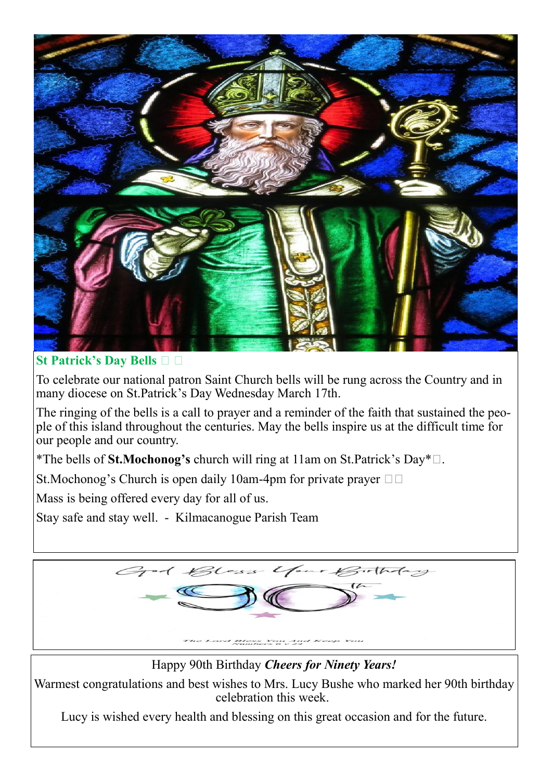

**St Patrick's Day Bells** 

To celebrate our national patron Saint Church bells will be rung across the Country and in many diocese on St.Patrick's Day Wednesday March 17th.

The ringing of the bells is a call to prayer and a reminder of the faith that sustained the people of this island throughout the centuries. May the bells inspire us at the difficult time for our people and our country.

\*The bells of **St.Mochonog's** church will ring at 11am on St.Patrick's Day\* .

St.Mochonog's Church is open daily 10am-4pm for private prayer  $\square \square$ 

Mass is being offered every day for all of us.

Stay safe and stay well. - Kilmacanogue Parish Team



Happy 90th Birthday *Cheers for Ninety Years!*

Warmest congratulations and best wishes to Mrs. Lucy Bushe who marked her 90th birthday celebration this week.

Lucy is wished every health and blessing on this great occasion and for the future.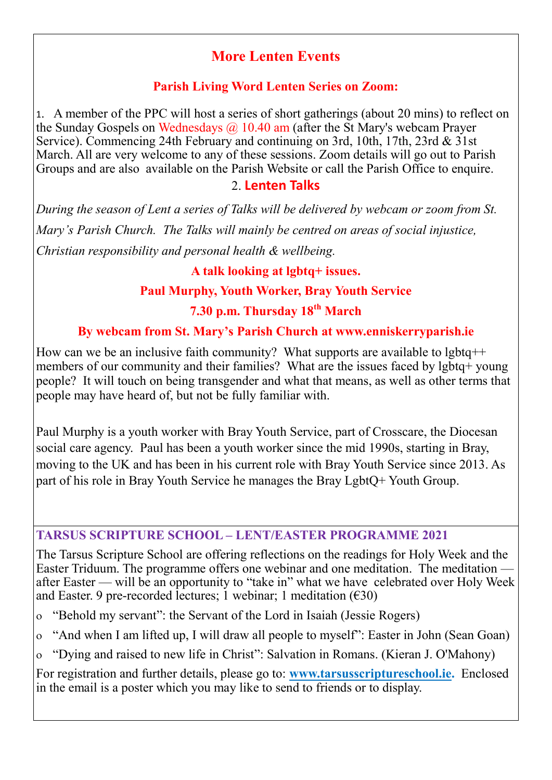# **More Lenten Events**

#### **Parish Living Word Lenten Series on Zoom:**

1. A member of the PPC will host a series of short gatherings (about 20 mins) to reflect on the Sunday Gospels on Wednesdays  $\omega$  10.40 am (after the St Mary's webcam Prayer Service). Commencing 24th February and continuing on 3rd, 10th, 17th, 23rd & 31st March. All are very welcome to any of these sessions. Zoom details will go out to Parish Groups and are also available on the Parish Website or call the Parish Office to enquire.

#### 2. **Lenten Talks**

*During the season of Lent a series of Talks will be delivered by webcam or zoom from St. Mary's Parish Church. The Talks will mainly be centred on areas of social injustice, Christian responsibility and personal health & wellbeing.* 

#### **A talk looking at lgbtq+ issues.**

# **Paul Murphy, Youth Worker, Bray Youth Service**

# **7.30 p.m. Thursday 18th March**

# **By webcam from St. Mary's Parish Church at www.enniskerryparish.ie**

How can we be an inclusive faith community? What supports are available to lgbtq $++$ members of our community and their families? What are the issues faced by lgbtq+ young people? It will touch on being transgender and what that means, as well as other terms that people may have heard of, but not be fully familiar with.

Paul Murphy is a youth worker with Bray Youth Service, part of Crosscare, the Diocesan social care agency. Paul has been a youth worker since the mid 1990s, starting in Bray, moving to the UK and has been in his current role with Bray Youth Service since 2013. As part of his role in Bray Youth Service he manages the Bray LgbtQ+ Youth Group.

#### **TARSUS SCRIPTURE SCHOOL – LENT/EASTER PROGRAMME 2021**

The Tarsus Scripture School are offering reflections on the readings for Holy Week and the Easter Triduum. The programme offers one webinar and one meditation. The meditation after Easter — will be an opportunity to "take in" what we have celebrated over Holy Week and Easter. 9 pre-recorded lectures; 1 webinar; 1 meditation  $(630)$ 

- "Behold my servant": the Servant of the Lord in Isaiah (Jessie Rogers)
- "And when I am lifted up, I will draw all people to myself": Easter in John (Sean Goan)
- "Dying and raised to new life in Christ": Salvation in Romans. (Kieran J. O'Mahony)

For registration and further details, please go to: **[www.tarsusscriptureschool.ie.](http://www.tarsusscriptureschool.ie)** Enclosed in the email is a poster which you may like to send to friends or to display.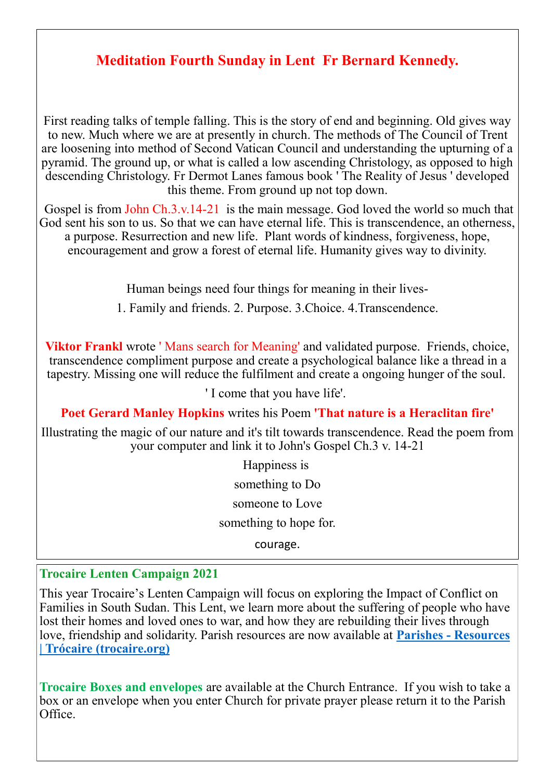# **Meditation Fourth Sunday in Lent Fr Bernard Kennedy.**

First reading talks of temple falling. This is the story of end and beginning. Old gives way to new. Much where we are at presently in church. The methods of The Council of Trent are loosening into method of Second Vatican Council and understanding the upturning of a pyramid. The ground up, or what is called a low ascending Christology, as opposed to high descending Christology. Fr Dermot Lanes famous book ' The Reality of Jesus ' developed this theme. From ground up not top down.

Gospel is from John Ch.3.v.14-21 is the main message. God loved the world so much that God sent his son to us. So that we can have eternal life. This is transcendence, an otherness, a purpose. Resurrection and new life. Plant words of kindness, forgiveness, hope, encouragement and grow a forest of eternal life. Humanity gives way to divinity.

Human beings need four things for meaning in their lives-

1. Family and friends. 2. Purpose. 3.Choice. 4.Transcendence.

**Viktor Frankl** wrote 'Mans search for Meaning' and validated purpose. Friends, choice, transcendence compliment purpose and create a psychological balance like a thread in a tapestry. Missing one will reduce the fulfilment and create a ongoing hunger of the soul.

' I come that you have life'.

**Poet Gerard Manley Hopkins** writes his Poem **'That nature is a Heraclitan fire'**

Illustrating the magic of our nature and it's tilt towards transcendence. Read the poem from your computer and link it to John's Gospel Ch.3 v. 14-21

> Happiness is something to Do someone to Love something to hope for.

courage.

#### **Trocaire Lenten Campaign 2021**

This year Trocaire's Lenten Campaign will focus on exploring the Impact of Conflict on Families in South Sudan. This Lent, we learn more about the suffering of people who have lost their homes and loved ones to war, and how they are rebuilding their lives through love, friendship and solidarity. Parish resources are now available at **Parishes - [Resources](https://www.trocaire.org/our-work/working-in-ireland/parishes/resources/)  [| Trócaire \(trocaire.org\)](https://www.trocaire.org/our-work/working-in-ireland/parishes/resources/)**

**Trocaire Boxes and envelopes** are available at the Church Entrance. If you wish to take a box or an envelope when you enter Church for private prayer please return it to the Parish Office.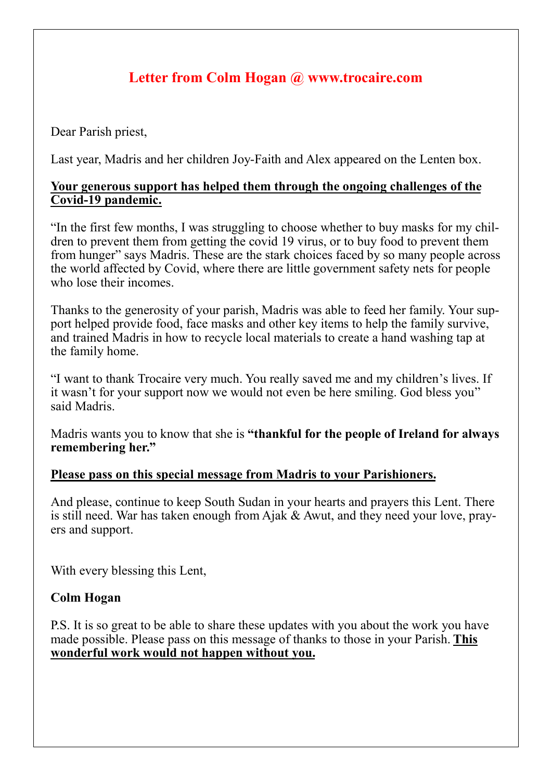# **Letter from Colm Hogan @ www.trocaire.com**

Dear Parish priest,

Last year, Madris and her children Joy-Faith and Alex appeared on the Lenten box.

#### **Your generous support has helped them through the ongoing challenges of the Covid-19 pandemic.**

"In the first few months, I was struggling to choose whether to buy masks for my children to prevent them from getting the covid 19 virus, or to buy food to prevent them from hunger" says Madris. These are the stark choices faced by so many people across the world affected by Covid, where there are little government safety nets for people who lose their incomes.

Thanks to the generosity of your parish, Madris was able to feed her family. Your support helped provide food, face masks and other key items to help the family survive, and trained Madris in how to recycle local materials to create a hand washing tap at the family home.

"I want to thank Trocaire very much. You really saved me and my children's lives. If it wasn't for your support now we would not even be here smiling. God bless you" said Madris.

Madris wants you to know that she is **"thankful for the people of Ireland for always remembering her."**

# **Please pass on this special message from Madris to your Parishioners.**

And please, continue to keep South Sudan in your hearts and prayers this Lent. There is still need. War has taken enough from Ajak & Awut, and they need your love, prayers and support.

With every blessing this Lent,

# **Colm Hogan**

P.S. It is so great to be able to share these updates with you about the work you have made possible. Please pass on this message of thanks to those in your Parish. **This wonderful work would not happen without you.**